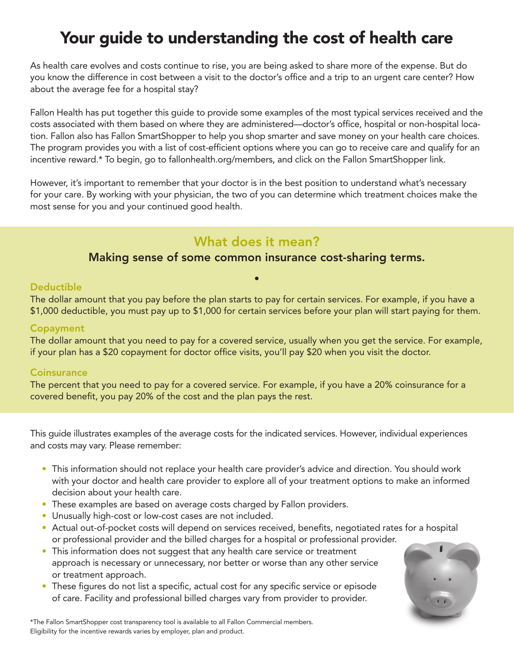# Your guide to understanding the cost of health care

As health care evolves and costs continue to rise, you are being asked to share more of the expense. But do you know the difference in cost between a visit to the doctor's office and a trip to an urgent care center? How about the average fee for a hospital stay?

Fallon Health has put together this guide to provide some examples of the most typical services received and the costs associated with them based on where they are administered—doctor's office, hospital or non-hospital location. Fallon also has Fallon SmartShopper to help you shop smarter and save money on your health care choices. The program provides you with a list of cost-efficient options where you can go to receive care and qualify for an incentive reward.\* To begin, go to fallonhealth.org/members, and click on the Fallon SmartShopper link.

However, it's important to remember that your doctor is in the best position to understand what's necessary for your care. By working with your physician, the two of you can determine which treatment choices make the most sense for you and your continued good health.

## What does it mean?

### Making sense of some common insurance cost-sharing terms.

#### **Deductible**

The dollar amount that you pay before the plan starts to pay for certain services. For example, if you have a \$1,000 deductible, you must pay up to \$1,000 for certain services before your plan will start paying for them.

#### Copayment

The dollar amount that you need to pay for a covered service, usually when you get the service. For example, if your plan has a \$20 copayment for doctor office visits, you'll pay \$20 when you visit the doctor.

#### **Coinsurance**

The percent that you need to pay for a covered service. For example, if you have a 20% coinsurance for a covered benefit, you pay 20% of the cost and the plan pays the rest.

This guide illustrates examples of the average costs for the indicated services. However, individual experiences and costs may vary. Please remember:

- This information should not replace your health care provider's advice and direction. You should work with your doctor and health care provider to explore all of your treatment options to make an informed decision about your health care.
- These examples are based on average costs charged by Fallon providers.
- Unusually high-cost or low-cost cases are not included.
- Actual out-of-pocket costs will depend on services received, benefits, negotiated rates for a hospital or professional provider and the billed charges for a hospital or professional provider.
- This information does not suggest that any health care service or treatment approach is necessary or unnecessary, nor better or worse than any other service or treatment approach.
- These figures do not list a specific, actual cost for any specific service or episode of care. Facility and professional billed charges vary from provider to provider.



\*The Fallon SmartShopper cost transparency tool is available to all Fallon Commercial members. Eligibility for the incentive rewards varies by employer, plan and product.